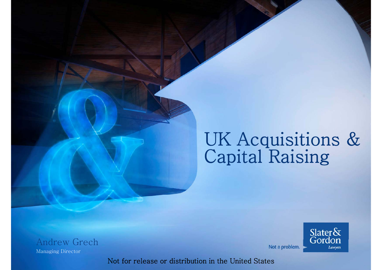# UK Acquisitions & Capital Raising



Not a problem.

Andrew Grech Managing Director

Not for release or distribution in the United States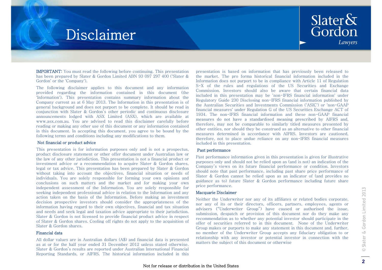### Disclaimer



**IMPORTANT:** You must read the following before continuing. This presentation has been prepared by Slater & Gordon Limited ABN 93 097 297 400 ('Slater & Gordon' or the 'Company').

The following disclaimer applies to this document and any information provided regarding the information contained in this document (the 'Information'). This presentation contains summary information about the Company current as at 6 May 2013. The Information in this presentation is of general background and does not purport to be complete. It should be read in conjunction with Slater & Gordon's other periodic and continuous disclosure announcements lodged with ASX Limited (ASX), which are available at www.asx.com.au. You are advised to read this disclaimer carefully before reading or making any other use of this document or any information contained in this document. In accepting this document, you agree to be bound by the following terms and conditions including any modifications to them.

#### Not financial or product advice

This presentation is for information purposes only and is not a prospectus, **Past** product disclosure statement or other offer document under Australian law or the law of any other jurisdiction. This presentation is not <sup>a</sup> financial product or investment advice or <sup>a</sup> recommendation to acquire Slater & Gordon shares, legal or tax advice. This presentation has been prepared by Slater & Gordon without taking into account the objectives, financial situation or needs of individuals. You are solely responsible for forming your own opinions and conclusions on such matters and the market and for making your own independent assessment of the Information. You are solely responsible for seeking independent professional advice in relation to the Information and any action taken on the basis of the Information. Before making an investment decision prospective investors should consider the appropriateness of the information having regard to their own objectives, financial and tax situation and needs and seek legal and taxation advice appropriate to their jurisdiction. Slater & Gordon is not licensed to provide financial product advice in respect of Slater & Gordon shares. Cooling off rights do not apply to the acquisition of Slater & Gordon shares.

#### Financial data

All dollar values are in Australian dollars (A\$) and financial data is presented as at or for the half year ended 31 December 2012 unless stated otherwise. Slater & Gordon's results are reported under Australian International Financial Reporting Standards, or AIFRS. The historical information included in this presentation is based on information that has previously been released to the market. The pro forma historical financial information included in the Information does not purport to be in compliance with Article 11 of Regulation S-X of the rules and regulations of the US Securities and Exchange Commission. Investors should also be aware that certain financial data included in this presentation may be 'non-IFRS financial information' under Regulatory Guide 230 Disclosing non-IFRS financial information published by the Australian Securities and Investments Commission ('ASIC') or 'non-GAAP financial measures' under Regulation G of the US Securities Exchange ACT of 1934. The non-IFRS financial information and these non-GAAP financial measures do not have a standardised meaning prescribed by AIFRS and, therefore, may not be comparable to similarly titled measures presented by other entities, nor should they be construed as an alternative to other financial measures determined in accordance with AIFRS. Investors are cautioned, therefore, not to place undue reliance on any non-IFRS financial measures included in this presentation.

#### Past performance

Past performance information given in this presentation is given for illustrative purposes only and should not be relied upon as (and is not) an indication of the Company's views on its future financial performance or condition. Investors should note that past performance, including past share price performance of Slater & Gordon cannot be relied upon as an indicator of (and provides no guidance as to) future Slater & Gordon performance including future share price performance.

#### Macquarie Disclaimer

Neither the Underwriter nor any of its affiliates or related bodies corporate, nor any of its or their directors, officers, partners, employees, agents or advisers ("Underwriter Group") have caused or authorised the issue, submission, despatch or provision of this document nor do they make any recommendation as to whether any potential investor should participate in the offer of securities referred to in this document. None of the Underwriter Group makes or purports to make any statement in this document and, further, no member of the Underwriter Group accepts any fiduciary obligation to or relationship with any investor or potential investor in connection with the matters the subject of this document or otherwise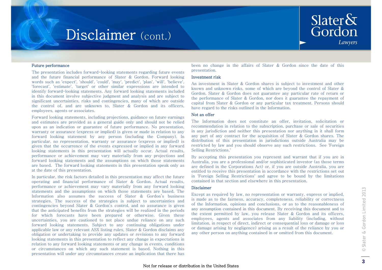### Disclaimer (cont.)



#### Future performance

The presentation includes forward-looking statements regarding future events and the future financial performance of Slater & Gordon. Forward looking words such as 'expect', 'should', 'could', 'may', 'predict', 'plan', 'will', 'believe', 'forecast', 'estimate', 'target' or other similar expressions are intended to identify forward-looking statements. Any forward looking statements included in this document involve subjective judgment and analysis and are subject to significant uncertainties, risks and contingencies, many of which are outside the control of, and are unknown to, Slater & Gordon and its officers, employees, agents or associates.

Forward looking statements, including projections, guidance on future earnings and estimates are provided as <sup>a</sup> general guide only and should not be relied upon as an indication or guarantee of future performance. No presentation, warranty or assurance (express or implied) is given or made in relation to any forward looking statement by any person (including the Company). In particular, no representation, warranty or assurance (express or implied) is given that the occurrence of the events expressed or implied in any forward looking statements in this presentation will actually occur. Actual results, Selling-Restrictions.' performance or achievement may vary materially from any projections and forward looking statements and the assumptions on which those statements are based. The forward looking statements in this presentation speak only as at the date of this presentation.

In particular, the risk factors detailed in this presentation may affect the future operating and financial performance of Slater & Gordon. Actual results, performance or achievement may vary materially from any forward looking statements and the assumptions on which those statements are based. The Information also assumes the success of Slater & Gordon's business strategies. The success of the strategies is subject to uncertainties and contingencies beyond Slater & Gordon's control, and no assurance is given that the anticipated benefits from the strategies will be realized in the periods for which forecasts have been prepared or otherwise. Given these uncertainties, you are cautioned to not place undue reliance on any such forward looking statements. Subject to any continuing obligations under applicable law or any relevant ASX listing rules, Slater & Gordon disclaims any obligation or undertaking to provide any updates or revisions to any forward looking statements in this presentation to reflect any change in expectations in relation to any forward looking statements or any change in events, conditions or circumstances on which any such statement is based. Nothing in this presentation will under any circumstances create an implication that there has been no change in the affairs of Slater & Gordon since the date of this presentation.

#### Investment risk

An investment in Slater & Gordon shares is subject to investment and other known andGordon. Slater & Gordon does not guarantee any particular rate of return or the performance of Slater & Gordon, nor does it guarantee the repayment of capital from Slater & Gordon or any particular tax treatment. Persons should have regard to the risks outlined in the Information.

#### Not an offer

The Information does not constitute an offer, invitation, solicitation or recommendation in relation to the subscription, purchase or sale of securities in any jurisdiction and neither this presentation nor anything in it shall form any part of any contract for the acquisition of Slater & Gordon shares. The distribution of this presentation in jurisdictions outside Australia may be restricted by law and you should observe any such restrictions. See 'Foreign Restrictions.'

By accepting this presentation you represent and warrant that if you are in Australia, you are <sup>a</sup> professional and/or sophisticated investor (as those terms are defined in the Corporations Act) or, if you are outside Australia, you are entitled to receive this presentation in accordance with the restrictions set out in 'Foreign Selling Restrictions' and agree to be bound by the limitations contained in that section and elsewhere in this presentation.

#### Disclaimer

Except as required by law, no representation or warranty, express or implied, is made as to the fairness, accuracy, completeness, reliability or correctness of the Information, opinions and conclusions, or as to the reasonableness of  $\frac{1}{2}$  that the anticipated benefits from the strategies will be realized in the periods any assumption contained in this document. By receiving this document and to  $\frac{1}{2}$ the extent permitted by law, you release Slater & Gordon and its officers, employees, agents and associates from any liability (including, without limitation, in respect of direct, indirect or consequential loss or damage or loss or damage arising by negligence) arising as <sup>a</sup> result of the reliance by you or any other person on anything contained in or omitted from this document.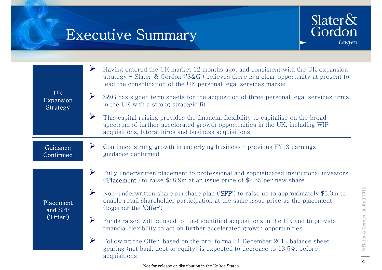### Executive Summary



| <b>UK</b><br>Expansion<br>Strategy | $\blacktriangleright$<br>Having entered the UK market 12 months ago, and consistent with the UK expansion<br>strategy - Slater & Gordon ('S&G') believes there is a clear opportunity at present to<br>lead the consolidation of the UK personal legal services market<br>$\blacktriangleright$<br>S&G has signed term sheets for the acquisition of three personal legal services firms<br>in the UK with a strong strategic fit<br>$\blacktriangleright$<br>This capital raising provides the financial flexibility to capitalise on the broad<br>spectrum of further accelerated growth opportunities in the UK, including WIP<br>acquisitions, lateral hires and business acquisitions |
|------------------------------------|--------------------------------------------------------------------------------------------------------------------------------------------------------------------------------------------------------------------------------------------------------------------------------------------------------------------------------------------------------------------------------------------------------------------------------------------------------------------------------------------------------------------------------------------------------------------------------------------------------------------------------------------------------------------------------------------|
| Guidance<br>Confirmed              | $\blacktriangleright$<br>Continued strong growth in underlying business - previous FY13 earnings<br>guidance confirmed                                                                                                                                                                                                                                                                                                                                                                                                                                                                                                                                                                     |
| Placement<br>and SPP<br>'Offer'    | $\blacktriangleright$<br>Fully underwritten placement to professional and sophisticated institutional investors<br>('Placement') to raise $$58.9m$ at an issue price of $$2.55$ per new share<br>$\blacktriangleright$<br>Non-underwritten share purchase plan ('SPP') to raise up to approximately \$5.0m to<br>enable retail shareholder participation at the same issue price as the placement<br>(together the 'Offer')                                                                                                                                                                                                                                                                |
|                                    | $\blacktriangleright$<br>Funds raised will be used to fund identified acquisitions in the UK and to provide<br>financial flexibility to act on further accelerated growth opportunities                                                                                                                                                                                                                                                                                                                                                                                                                                                                                                    |
|                                    | $\blacktriangleright$<br>Following the Offer, based on the pro-forma 31 December 2012 balance sheet,<br>gearing (net bank debt to equity) is expected to decrease to 13.5%, before<br>acquisitions                                                                                                                                                                                                                                                                                                                                                                                                                                                                                         |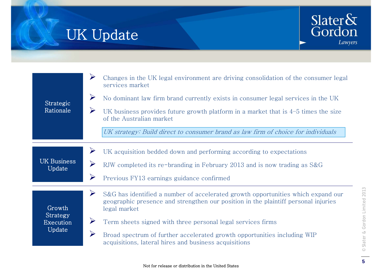## UK Update



| Strategic<br>Rationale                    | Changes in the UK legal environment are driving consolidation of the consumer legal<br>services market<br>$\blacktriangleright$<br>No dominant law firm brand currently exists in consumer legal services in the UK<br>UK business provides future growth platform in a market that is $4-5$ times the size<br>of the Australian market<br>UK strategy: Build direct to consumer brand as law firm of choice for individuals                 |
|-------------------------------------------|----------------------------------------------------------------------------------------------------------------------------------------------------------------------------------------------------------------------------------------------------------------------------------------------------------------------------------------------------------------------------------------------------------------------------------------------|
| <b>UK Business</b><br>Update              | $\blacktriangleright$<br>UK acquisition bedded down and performing according to expectations<br>$\blacktriangleright$<br>RJW completed its re-branding in February 2013 and is now trading as S&G<br>$\blacktriangleright$<br>Previous FY13 earnings guidance confirmed                                                                                                                                                                      |
| Growth<br>Strategy<br>Execution<br>Update | $\blacktriangleright$<br>S&G has identified a number of accelerated growth opportunities which expand our<br>geographic presence and strengthen our position in the plaintiff personal injuries<br>legal market<br>Term sheets signed with three personal legal services firms<br>$\blacktriangleright$<br>Broad spectrum of further accelerated growth opportunities including WIP<br>acquisitions, lateral hires and business acquisitions |

© Slat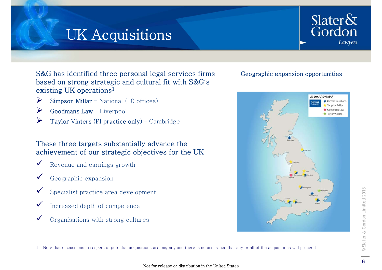## **UK Acquisitions**



S&G has identified three personal legal services firms Geographic expansion opportunities based on strong strategic and cultural fit with S&G's existing UK operations<sup>1</sup>

- $\blacktriangleright$ Simpson Millar - National (10 offices)
- $\blacktriangleright$ Goodmans Law – Liverpool
- $\blacktriangleright$ Taylor Vinters (PI practice only) – Cambridge

### These three targets substantially advance the achievement of our strategic objectives for the UK

- $\checkmark$ Revenue and earnings growth
- $\checkmark$ Geographic expansion
- $\checkmark$ Specialist practice area development
- $\checkmark$ Increased depth of competence
- $\checkmark$ Organisations with strong cultures



1. Note that discussions in respect of potential acquisitions are ongoing and there is no assurance that any or all of the acquisitions will proceed

#### Not for release or distribution in the United States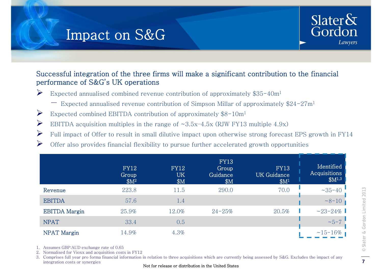### Impact on S&G



### Successful integration of the three firms will make a significant contribution to the financial performance of S&G's UK operations

- $\sum_{i=1}^{n}$  Expected annualised combined revenue contribution of approximately \$35-40m1
	- − Expected annualised revenue contribution of Simpson Millar of approximately \$24-27m1
- $\sum_{i=1}^{n}$ Expected combined EBITDA contribution of approximately \$8-10m1
- $\blacktriangleright$ EBITDA acquisition multiples in the range of  $\sim 3.5x-4.5x$  (RJW FY13 multiple 4.9x)
- $\sum_{i=1}^{n}$ Full impact of Offer to result in small dilutive impact upon otherwise strong forecast EPS growth in FY14
- $\blacktriangleright$ Offer also provides financial flexibility to pursue further accelerated growth opportunities

|                      | <b>FY12</b><br>Group<br>\$M <sup>2</sup> | <b>FY12</b><br><b>UK</b><br>\$M | <b>FY13</b><br>Group<br>Guidance<br>\$M | <b>FY13</b><br><b>UK</b> Guidance<br>\$M <sup>1</sup> | Identified<br>Acquisitions<br>$$M^{1,3}$$ |
|----------------------|------------------------------------------|---------------------------------|-----------------------------------------|-------------------------------------------------------|-------------------------------------------|
| Revenue              | 223.8                                    | 11.5                            | 290.0                                   | 70.0                                                  | ~140                                      |
| <b>EBITDA</b>        | 57.6                                     | 1.4                             |                                         |                                                       | $~8 - 10$                                 |
| <b>EBITDA</b> Margin | 25.9%                                    | 12.0%                           | $24 - 25%$                              | 20.5%                                                 | $~23 - 24\%$                              |
| <b>NPAT</b>          | 33.4                                     | 0.5                             |                                         |                                                       | $~15 - 7$                                 |
| NPAT Margin          | 14.9%                                    | $4.3\%$                         |                                         |                                                       | $~15 - 16\%$                              |

1. Assumes GBP:AUD exchange rate of 0.65

2. Normalised for Vioxx and acquisition costs in FY12

3. Comprises full year pro forma financial information in relation to three acquisitions which are currently being assessed by S&G. Excludes the impact of any integration costs or synergies Not for release or distribution in the United States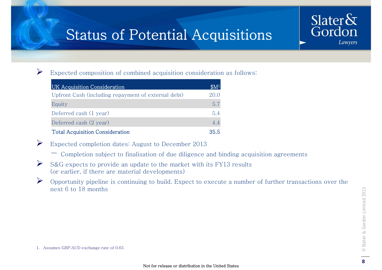## Status of Potential Acquisitions

 $\blacktriangleright$ 

Expected composition of combined acquisition consideration as follows:

| UK Acquisition Consideration                        | $\mathbb{S}M^1$ |
|-----------------------------------------------------|-----------------|
| Upfront Cash (including repayment of external debt) | 200             |
| Equity                                              | 5.7             |
| Deferred cash (1 year)                              | 54              |
| Deferred cash (2 year)                              | 4.4             |
| <b>Total Acquisition Consideration</b>              | 35.5            |

- Expected completion dates: August to December 2013
	- − Completion subject to finalisation of due diligence and binding acquisition agreements
- $\blacktriangleright$  S&G expects to provide an update to the market with its FY13 results (or earlier, if there are material developments)
- $\blacktriangleright$  $\triangleright$  Opportunity pipeline is continuing to build. Expect to execute a number of further transactions over the next 6 to 18 months

Slater $\&$ 

Gordon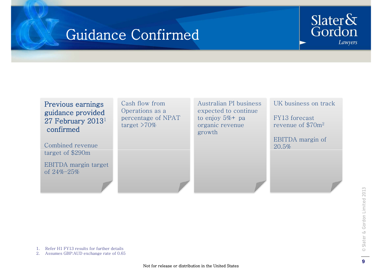### Guidance Confirmed

### Slater $\delta x$ Gordon Lawyers

### Previous earnings guidance provided ?7 February<br>confirmed

Combined revenue tar get of \$290m

EBITDA margin target of 24%–25%

Cash flow from Operations as a percentage of NPAT target >70%

 $27$  February 2013<sup>1</sup> percentage of NPAT to enjoy 5%+ pa FY13 forecast Australian PI business expected to continue to enjoy 5 % + pa organic revenue growth

UK business on track

- -------revenue of \$70m2

EBITDA margin of 20.5%

1. Refer H1 FY13 results for further details<br>2. Assumes GBP:AUD exchange rate of 0.65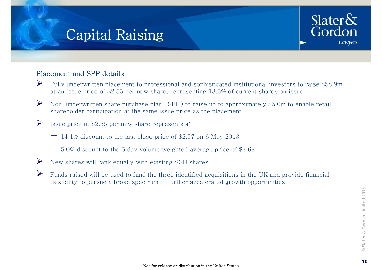### **Capital Raising**



### Placement and SPP details

- $\blacktriangleright$  Fully underwritten placement to professional and sophisticated institutional investors to raise \$58.9m at an issue price of \$2.55 per new share, representing  $13.5\%$  of current shares on issue
- $\blacktriangleright$  Non-underwritten share purchase plan ('SPP') to raise up to approximately \$5.0m to enable retail shareholder participation at the same issue price as the placement
- $\blacktriangleright$  Issue price of \$2.55 per new share represents a:
	- − 14.1% discount to the last close price of \$2.97 on 6 May 2013
	- $-$  5.0% discount to the 5 day volume weighted average price of \$2.68
- $\blacktriangleright$ New shares will rank equally with existing SGH shares
- $\blacktriangleright$  Funds raised will be used to fund the three identified acquisitions in the UK and provide financial flexibility to pursue a broad spectrum of further accelerated growth opportunities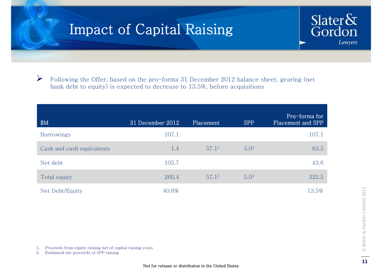

 $\triangleright$  Following the Offer, based on the pro-forma 31 December 2012 balance sheet, gearing (net bank debt to equity) is expected to decrease to 13.5%, before acquisitions

| \$M                       | 31 December 2012 | Placement         | <b>SPP</b>       | Pro-forma for<br>Placement and SPP |
|---------------------------|------------------|-------------------|------------------|------------------------------------|
| Borrowings                | 107.1            |                   |                  | 107.1                              |
| Cash and cash equivalents | 1.4              | 57.1 <sup>1</sup> | 5.0 <sup>2</sup> | 63.5                               |
| Net debt                  | 105.7            |                   |                  | 43.6                               |
| Total equity              | 260.4            | 57.1 <sup>1</sup> | 5.0 <sup>2</sup> | 322.5                              |
| Net Debt/Equity           | 40.6%            |                   |                  | 13.5%                              |

1. Proceeds from equity raising net of capital raising costs

2. Estimated net proceeds of SPP raising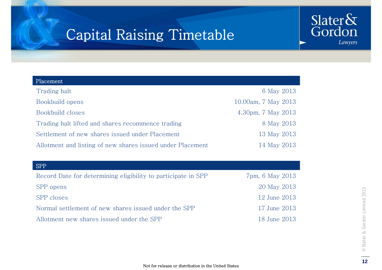### Capital Raising Timetable



| Placement                                                  |                     |
|------------------------------------------------------------|---------------------|
| Trading halt                                               | 6 May 2013          |
| Bookbuild opens                                            | 10.00am, 7 May 2013 |
| Bookbuild closes                                           | 4.30pm, 7 May 2013  |
| Trading halt lifted and shares recommence trading          | 8 May 2013          |
| Settlement of new shares issued under Placement            | 13 May 2013         |
| Allotment and listing of new shares issued under Placement | 14 May 2013         |
|                                                            |                     |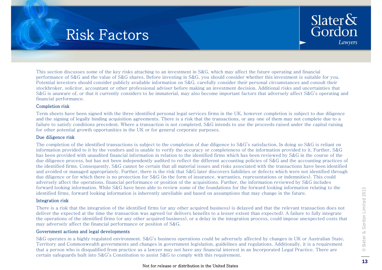

This section discusses some of the key risks attaching to an investment in S&G, which may affect the future operating and financial performance of S&G and the value of S&G shares. Before investing in S&G, you should consider whether this investment is suitable for you. Potential investors should consider publicly available information on S&G, carefully consider their personal circumstances and consult their stockbroker, solicitor, accountant or other professional adviser before making an investment decision. Additional risks and uncertainties that S&G is unaware of, or that it currently considers to be immaterial, may also become important factors that adversely affect S&G's operating and financial performance.

#### Completion risk

Term sheets have been signed with the three identified personal legal services firms in the UK, however completion is subject to due diligence and the signing of legally binding acquisition agreements. There is a risk that the transactions, or any one of them may not complete due to a failure to satisfy conditions precedent. Where a transaction is not completed, S&G intends to use the proceeds raised under the capital raising for other potential growth opportunities in the UK or for general corporate purposes.

#### Due diligence risk

The completion of the identified transactions is subject to the completion of due diligence to S&G's satisfaction. In doing so S&G is reliant on information provided to it by the vendors and is unable to verify the accuracy or completeness of the information provided to it. Further, S&G has been provided with unaudited financial information in relation to the identified firms which has been reviewed by S&G in the course of the due diligence process, but has not been independently audited to reflect the different accounting policies of S&G and the accounting practices of the identified firms. Consequently, S&G cannot be certain that all material issues and risks associated with the transactions have been identified and avoided or managed appropriately. Further, there is the risk that S&G later discovers liabilities or defects which were not identified through due diligence or for which there is no protection for S&G (in the form of insurance, warranties, representations or indemnities). This could adversely affect the operations, financial performance or position of the acquisitions. Further, the information reviewed by S&G includes forward looking information. While S&G have been able to review some of the foundations for the forward looking information relating to the identified firms, forward looking information is inherently unreliable and based on assumptions that may change in the future.

#### Integration risk

There is a risk that the integration of the identified firms (or any other acquired business) is delayed and that the relevant transaction does not  $\overline{\epsilon}$ deliver the expected at the time the transaction was agreed (or delivers benefits to a lesser extent than expected). A failure to fully integrate the operations of the identified firms (or any other acquired business), or a delay in the integration process, could impose unexpected costs that may adversely affect the financial performance or position of S&G.

#### Government actions and legal developments

S&G operates in a highly regulated environment. S&G's business operations could be adversely affected by changes in UK or Australian State. Territory and Commonwealth governments and changes in government legislation, guidelines and regulations. Additionally, it is a requirement that a person who is disqualified from practice as a lawyer may not have any financial interest in an Incorporated Legal Practice. There are certain safeguards built into S&G's Constitution to assist S&G to comply with this requirement.

#### Not for release or distribution in the United States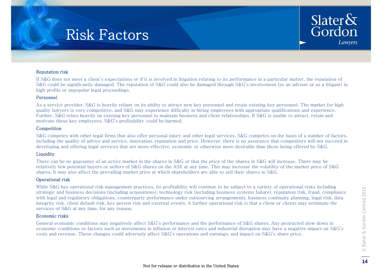

#### Reputation risk

If S&G does not meet a client's expectations or if it is involved in litigation relating to its performance in a particular matter, the reputation of S&G could be significantly damaged. The reputation of S&G could also be damaged through S&G's involvement (as an adviser or as a litigant) in high profile or unpopular legal proceedings.

#### Personnel

As a service provider, S&G is heavily reliant on its ability to attract new key personnel and retain existing key personnel. The market for high quality lawyers is very competitive, and S&G may experience difficulty in hiring employees with appropriate qualifications and experience. Further, S&G relies heavily on existing key personnel to maintain business and client relationships. If S&G is unable to attract, retain and motivate these key employees,  $S&G's$  profitability could be harmed.

#### **Competition**

S&G competes with other legal firms that also offer personal injury and other legal services. S&G competes on the basis of a number of factors, including the quality of advice and service, innovation, reputation and price. However, there is no assurance that competitors will not succeed in developing and offering legal services that are more effective, economic or otherwise more desirable than those being offered by S&G.

#### **Liquidity**

There can be no guarantee of an active market in the shares in S&G or that the price of the shares in S&G will increase. There may be relatively few potential buyers or sellers of S&G shares on the ASX at any time. This may increase the volatility of the market price of S&G shares. It may also affect the prevailing market price at which shareholders are able to sell their shares in S&G.

#### Operational risk

While S&G has operational risk management practices, its profitability will continue to be subject to a variety of operational risks including strategic and business decisions (including acquisitions), technology risk (including business systems failure), reputation risk, fraud, compliance with legal and regulatory obligations, counterparty performance under outsourcing arrangements, business continuity planning, legal risk, data integrity risk, client default risk, key person risk and external events. A further operational risk is that a client or clients may terminate the services of S&G at any time, for any reason.  $\Xi$ 

#### Economic risks

General economic conditions may negatively affect S&G's performance and the performance of S&G shares. Any protracted slow down in economic conditions or factors such as movements in inflation or interest rates and industrial disruption may have a negative impact on S&G's costs and revenue. These changes could adversely affect S&G's operations and earnings, and impact on S&G's share price.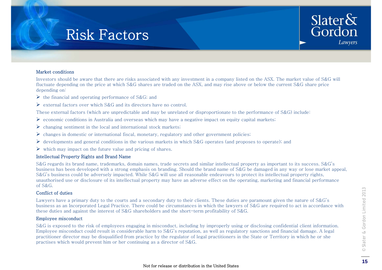

Investors should be aware that there are risks associated with any investment in a company listed on the ASX. The market value of S&G will fluctuate depending on the price at which S&G shares are traded on the ASX, and may rise above or below the current S&G share price depending on:

- $\triangleright$  the financial and operating performance of S&G; and
- $\triangleright$  external factors over which S&G and its directors have no control.

These external factors (which are unpredictable and may be unrelated or disproportionate to the performance of S&G) include:

- $\triangleright$  economic conditions in Australia and overseas which may have a negative impact on equity capital markets;
- $\triangleright$  changing sentiment in the local and international stock markets;
- $\triangleright$  changes in domestic or international fiscal, monetary, regulatory and other government policies;
- $\triangleright$  developments and general conditions in the various markets in which S&G operates (and proposes to operate); and
- $\triangleright$  which may impact on the future value and pricing of shares.

#### Intellectual Property Rights and Brand Name

S&G regards its brand name, trademarks, domain names, trade secrets and similar intellectual property as important to its success. S&G's business has been developed with a strong emphasis on branding. Should the brand name of S&G be damaged in any way or lose market appeal, S&G's business could be adversely impacted. While S&G will use all reasonable endeavours to protect its intellectual property rights, unauthorised use or disclosure of its intellectual property may have an adverse effect on the operating, marketing and financial performance of S&G.

#### Conflict of duties

Lawyers have a primary duty to the courts and a secondary duty to their clients. These duties are paramount given the nature of  $S\&G's$ business as an Incorporated Legal Practice. There could be circumstances in which the lawyers of S&G are required to act in accordance with these duties and against the interest of S&G shareholders and the short-term profitability of S&G.

#### Employee misconduct

S&G is exposed to the risk of employees engaging in misconduct, including by improperly using or disclosing confidential client information. Employee misconduct could result in considerable harm to S&G's reputation, as well as regulatory sanctions and financial damage. A legal practitioner director may be disqualified from practice by the regulator of legal practitioners in the State or Territory in which he or she practises which would prevent him or her continuing as a director of S&G.

Slater&<br>Gordon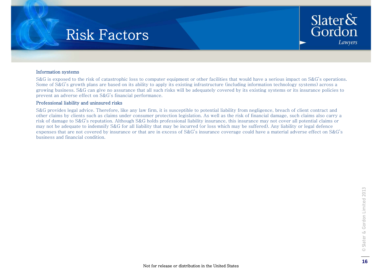

#### Information systems

S&G is exposed to the risk of catastrophic loss to computer equipment or other facilities that would have a serious impact on S&G's operations. Some of S&G's growth plans are based on its ability to apply its existing infrastructure (including information technology systems) across a growing business. S&G can give no assurance that all such risks will be adequately covered by its existing systems or its insurance policies to prevent an adverse effect on S&G's financial performance.

### Professional liability and uninsured risks

S&G provides legal advice. Therefore, like any law firm, it is susceptible to potential liability from negligence, breach of client contract and other claims by clients such as claims under consumer protection legislation. As well as the risk of financial damage, such claims also carry a risk of damage to S&G's reputation. Although S&G holds professional liability insurance, this insurance may not cover all potential claims or may not be adequate to indemnify S&G for all liability that may be incurred (or loss which may be suffered). Any liability or legal defence expenses that are not covered by insurance or that are in excess of S&G's insurance coverage could have a material adverse effect on S&G's business and financial condition.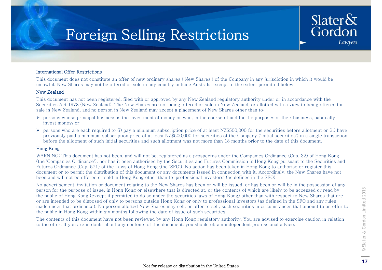### Foreign Selling Restrictions

#### International Offer Restrictions

This document does not constitute an offer of new ordinary shares ('New Shares') of the Company in any jurisdiction in which it would be unlawful. New Shares may not be offered or sold in any country outside Australia except to the extent permitted below.

#### New Zealand

This document has not been registered, filed with or approved by any New Zealand regulatory authority under or in accordance with the Securities Act 1978 (New Zealand). The New Shares are not being offered or sold in New Zealand, or allotted with a view to being offered for sale in New Zealand, and no person in New Zealand may accept a placement of New Shares other than to:

- $\triangleright$  persons whose principal business is the investment of money or who, in the course of and for the purposes of their business, habitually invest money; or
- $\triangleright$  persons who are each required to (i) pay a minimum subscription price of at least NZ\$500,000 for the securities before allotment or (ii) have previously paid a minimum subscription price of at least NZ\$500,000 for securities of the Company ('initial securities') in a single transaction before the allotment of such initial securities and such allotment was not more than 18 months prior to the date of this document.

#### Hong Kong Hong

WARNING: This document has not been, and will not be, registered as a prospectus under the Companies Ordinance (Cap. 32) of Hong Kong (the 'Companies Ordinance'), nor has it been authorised by the Securities and Futures Commission in Hong Kong pursuant to the Securities and Futures Ordinance (Cap. 571) of the Laws of Hong Kong (the 'SFO'). No action has been taken in Hong Kong to authorise or register this document or to permit the distribution of this document or any documents issued in connection with it. Accordingly, the New Shares have not been and will not be offered or sold in Hong Kong other than to 'professional investors' (as defined in the SFO).

No advertisement, invitation or document relating to the New Shares has been or will be issued, or has been or will be in the possession of any person for the purpose of issue, in Hong Kong or elsewhere that is directed at, or the contents of which are likely to be accessed or read by, the public of Hong Kong (except if permitted to do so under the securities laws of Hong Kong) other than with respect to New Shares that are or are intended to be disposed of only to persons outside Hong Kong or only to professional investors (as defined in the SFO and any rules made under that ordinance). No person allotted New Shares may sell, or offer to sell, such securities in circumstances that amount to an offer to public in Hon g Kon g within six months followin g the date of issue of such securities.

made under that ordinance), No person ahotted New Shares may sell, or other to sell, such securities in circumstances that amount to an other to the public in Hong Kong within six months following the date of issue of suc The contents of this document have not been reviewed by any Hong Kong regulatory authority. You are advised to exercise caution in relation to the offer. If you are in doubt about any contents of this document, you should obtain independent professional advice.

Slater $\delta$ 

Gordon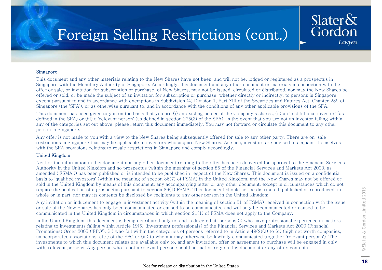## Foreign Selling Restrictions (cont.)

#### Singapore

This document and any other materials relating to the New Shares have not been, and will not be, lodged or registered as a prospectus in Singapore with the Monetary Authority of Singapore. Accordingly, this document and any other document or materials in connection with the offer or sale, or invitation for subscription or purchase, of New Shares, may not be issued, circulated or distributed, nor may the New Shares be offered or sold, or be made the subject of an invitation for subscription or purchase, whether directly or indirectly, to persons in Singapore except pursuant to and in accordance with exemptions in Subdivision (4) Division 1, Part XIII of the Securities and Futures Act, Chapter 289 of Singapore (the 'SFA'), or as otherwise pursuant to, and in accordance with the conditions of any other applicable provisions of the SFA.

This document has been given to you on the basis that you are (i) an existing holder of the Company's shares, (ii) an 'institutional investor' (as defined in the SFA) or (iii) a 'relevant person' (as defined in section 275(2) of the SFA). In the event that you are not an investor falling within any of the categories set out above, please return this document immediately. You may not forward or circulate this document to any other person in Singapore.

Any offer is not made to you with a view to the New Shares being subsequently offered for sale to any other party. There are on-sale restrictions in Singapore that may be applicable to investors who acquire New Shares. As such, investors are advised to acquaint themselves with the SFA provisions relating to resale restrictions in Singapore and comply accordingly.

#### United Kingdom

Neither the information in this document nor any other document relating to the offer has been delivered for approval to the Financial Services Authority in the United Kingdom and no prospectus (within the meaning of section 85 of the Financial Services and Markets Act 2000, as amended ('FSMA')) has been published or is intended to be published in respect of the New Shares. This document is issued on a confidential basis to 'qualified investors' (within the meaning of section 86(7) of FSMA) in the United Kingdom, and the New Shares may not be offered or sold in the United Kingdom by means of this document, any accompanying letter or any other document, except in circumstances which do not require the publication of a prospectus pursuant to section 86(1) FSMA. This document should not be distributed, published or reproduced, in whole or in part, nor may its contents be disclosed by recipients to any other person in the United Kingdom.

Any invitation or inducement to engage in investment activity (within the meaning of section 21 of FSMA) received in connection with the issue or sale of the New Shares has only been communicated or caused to be communicated and will only be communicated or caused to be communicated in the United Kingdom in circumstances in which section 21(1) of FSMA does not apply to the Company.

In the United Kingdom, this document is being distributed only to, and is directed at, persons (i) who have professional experience in matters relating to investments falling within Article 19(5) (investment professionals) of the Financial Services and Markets Act 2000 (Financial Promotions) Order 2005 ('FPO'), (ii) who fall within the categories of persons referred to in Article 49(2)(a) to (d) (high net worth companies, unincorporated associations, etc.) of the FPO or (iii) to whom it may otherwise be lawfully communicated (together 'relevant persons'). The investments to which this document relates are available only to, and any invitation, offer or agreement to purchase will be engaged in only with, relevant persons. Any person who is not a relevant person should not act or rely on this document or any of its contents.

Slater $\&$ 

Gordon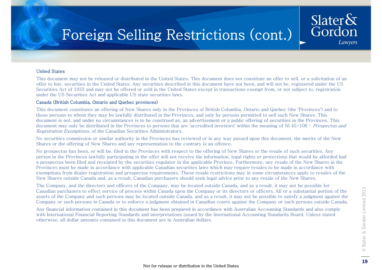## Foreign Selling Restrictions (cont.)

This document may not be released or distributed in the United States. This document does not constitute an offer to sell, or a solicitation of an offer to buy, securities in the United States. Any securities described in this document have not been, and will not be, registered under the US Securities Act of 1933 and may not be offered or sold in the United States except in transactions exempt from, or not subject to, registration under the US Securities Act and applicable US state securities laws.

#### Canada (British Columbia, Ontario and Quebec provinces)

This document constitutes an offering of New Shares only in the Provinces of British Columbia, Ontario and Quebec (the 'Provinces') and to those persons to whom they may be lawfully distributed in the Provinces, and only by persons permitted to sell such New Shares. This document is not, and under no circumstances is to be construed as, an advertisement or a public offering of securities in the Provinces. This document may only be distributed in the Provinces to persons that are 'accredited investors' within the meaning of NI 45-106 - Prospectus and Registration Exemptions, of the Canadian Securities Administrators.

No securities commission or similar authority in the Provinces has reviewed or in any way passed upon this document, the merits of the New Shares or the offering of New Shares and any representation to the contrary is an offence.

No prospectus has been, or will be, filed in the Provinces with respect to the offering of New Shares or the resale of such securities. Any person in the Provinces lawfully participating in the offer will not receive the information, legal rights or protections that would be afforded had a prospectus been filed and receipted by the securities regulator in the applicable Province. Furthermore, any resale of the New Shares in the Provinces must be made in accordance with applicable Canadian securities laws which may require resales to be made in accordance with exemptions from dealer registration and prospectus requirements. These resale restrictions may in some circumstances apply to resales of the New Shares outside Canada and, as a result, Canadian purchasers should seek legal advice prior to any resale of the New Shares.

The Company, and the directors and officers of the Company, may be located outside Canada, and as a result, it may not be possible for Canadian purchasers to effect service of process within Canada upon the Company or its directors or officers. All or a substantial portion of the assets of the Company and such persons may be located outside Canada, and as a result, it may not be possible to satisfy a judgment against the Company or such persons in Canada or to enforce a judgment obtained in Canadian courts against the Company or such persons outside Canada.

Any financial information contained in this document has been prepared in accordance with Australian Accounting Standards and also comply<br>with International Financial Reporting Standards and interpretations issued by the I with International Financial Reporting Standards and interpretations issued by the International Accounting Standards Board. Unless stated otherwise, all dollar amounts contained in this document are in Australian dollars.

Slater $\delta x$ 

Gordon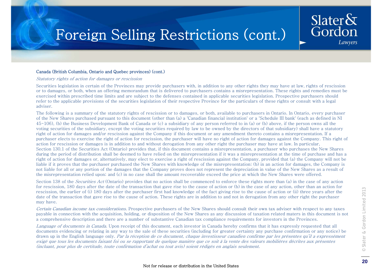### Foreign Selling Restrictions (cont.)

#### Canada (British Columbia, Ontario and Quebec provinces) (cont.)

Statutory rights of action for damages or rescission

Securities legislation in certain of the Provinces may provide purchasers with, in addition to any other rights they may have at law, rights of rescission or to damages, or both, when an offering memorandum that is delivered to purchasers contains a misrepresentation. These rights and remedies must be exercised within prescribed time limits and are subject to the defenses contained in applicable securities legislation. Prospective purchasers should refer to the applicable provisions of the securities legislation of their respective Province for the particulars of these rights or consult with a legal adviser.

The following is a summary of the statutory rights of rescission or to damages, or both, available to purchasers in Ontario. In Ontario, every purchaser of the New Shares purchased pursuant to this document (other than (a) a 'Canadian financial institution' or a 'Schedule III bank' (each as defined in NI 45-106), (b) the Business Development Bank of Canada or (c) a subsidiary of any person referred to in (a) or (b) above, if the person owns all the voting securities of the subsidiary, except the voting securities required by law to be owned by the directors of that subsidiary) shall have a statutory right of action for damages and/or rescission against the Company if this document or any amendment thereto contains a misrepresentation. If a purchaser elects to exercise the right of action for rescission, the purchaser will have no right of action for damages against the Company. This right of action for rescission or damages is in addition to and without derogation from any other right the purchaser may have at law. In particular, Section 130.1 of the Securities Act (Ontario) provides that, if this document contains a misrepresentation, a purchaser who purchases the New Shares during the period of distribution shall be deemed to have relied on the misrepresentation if it was a misrepresentation at the time of purchase and has a right of action for damages or, alternatively, may elect to exercise a right of rescission against the Company, provided that (a) the Company will not be liable if it proves that the purchaser purchased the New Shares with knowledge of the misrepresentation; (b) in an action for damages, the Company is not liable for all or any portion of the damages that the Company proves does not represent the depreciation in value of the New Shares as a result of the misrepresentation relied upon; and (c) in no case shall the amount recoverable exceed the price at which the New Shares were offered.

Section 138 of the *Securities Act* (Ontario) provides that no action shall be commenced to enforce these rights more than (a) in the case of any action for rescission, 180 days after the date of the transaction that gave rise to the cause of action or (b) in the case of any action, other than an action for rescission, the earlier of (i) 180 days after the purchaser first had knowledge of the fact giving rise to the cause of action or (ii) three years after the date of the transaction that gave rise to the cause of action. These rights are in addition to and not in derogation from any other right the purchaser may have.

Certain Canadian income tax considerations. Prospective purchasers of the New Shares should consult their own tax adviser with respect to any taxes  $\epsilon$ payable in connection with the acquisition, holding, or disposition of the New Shares as any discussion of taxation related maters in this document is not a comprehensive description and there are a number of substantive Canadian tax compliance requirements for investors in the Provinces.

Language of documents in Canada. Upon receipt of this document, each investor in Canada hereby confirms that it has expressly requested that all documents evidencing or relating in any way to the sale of these securities (including for greater certainty any purchase confirmation or any notice) be drawn up in the English language only. Par la réception de ce document, chaque investisseur canadien confirme par les présentes qu'il a expressément exigé que tous les documents faisant foi ou se rapportant de quelque manière que ce soit à la vente des valeurs mobilières décrites aux présentes (incluant, pour plus de certitude, toute confirmation d'achat ou tout avis) soient rédigés en anglais seulement.

Slater $\delta x$ 

Gordon

Lawyers

#### Not for release or distribution in the United States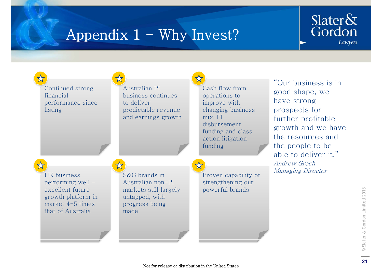## Appendix  $1 - W$ hy Invest?



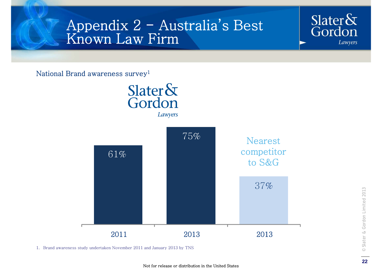### Appendix 2 - Australia's Best Known Law Firm

National Brand awareness survey1



1. Brand awareness study undertaken November 2011 and January 2013 by TNS

Slater $\&$ 

Gordon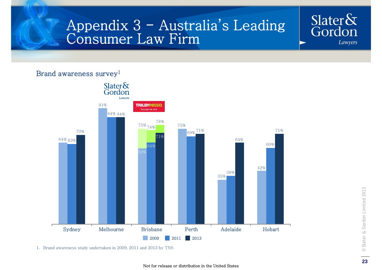### Appendix 3 - Australia's Leading Consumer Law Firm

### Brand awareness survey<sup>1</sup>



1. Brand awareness study undertaken in 2009, 2011 and 2013 by TNS

Slater $\&$ 

Gordon